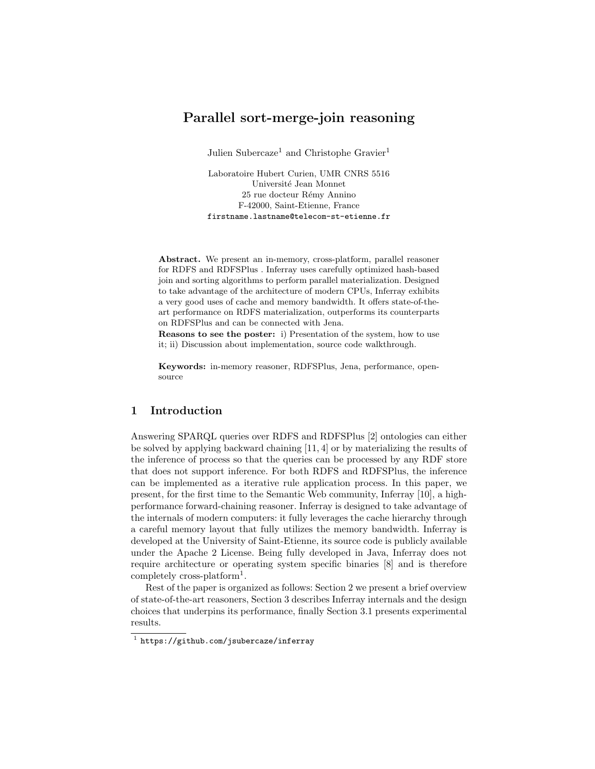# Parallel sort-merge-join reasoning

Julien Subercaze<sup>1</sup> and Christophe Gravier<sup>1</sup>

Laboratoire Hubert Curien, UMR CNRS 5516 Université Jean Monnet 25 rue docteur Rémy Annino F-42000, Saint-Etienne, France firstname.lastname@telecom-st-etienne.fr

Abstract. We present an in-memory, cross-platform, parallel reasoner for RDFS and RDFSPlus . Inferray uses carefully optimized hash-based join and sorting algorithms to perform parallel materialization. Designed to take advantage of the architecture of modern CPUs, Inferray exhibits a very good uses of cache and memory bandwidth. It offers state-of-theart performance on RDFS materialization, outperforms its counterparts on RDFSPlus and can be connected with Jena.

Reasons to see the poster: i) Presentation of the system, how to use it; ii) Discussion about implementation, source code walkthrough.

Keywords: in-memory reasoner, RDFSPlus, Jena, performance, opensource

# 1 Introduction

Answering SPARQL queries over RDFS and RDFSPlus [2] ontologies can either be solved by applying backward chaining [11, 4] or by materializing the results of the inference of process so that the queries can be processed by any RDF store that does not support inference. For both RDFS and RDFSPlus, the inference can be implemented as a iterative rule application process. In this paper, we present, for the first time to the Semantic Web community, Inferray [10], a highperformance forward-chaining reasoner. Inferray is designed to take advantage of the internals of modern computers: it fully leverages the cache hierarchy through a careful memory layout that fully utilizes the memory bandwidth. Inferray is developed at the University of Saint-Etienne, its source code is publicly available under the Apache 2 License. Being fully developed in Java, Inferray does not require architecture or operating system specific binaries [8] and is therefore completely cross-platform<sup>1</sup>.

Rest of the paper is organized as follows: Section 2 we present a brief overview of state-of-the-art reasoners, Section 3 describes Inferray internals and the design choices that underpins its performance, finally Section 3.1 presents experimental results.

<sup>1</sup> https://github.com/jsubercaze/inferray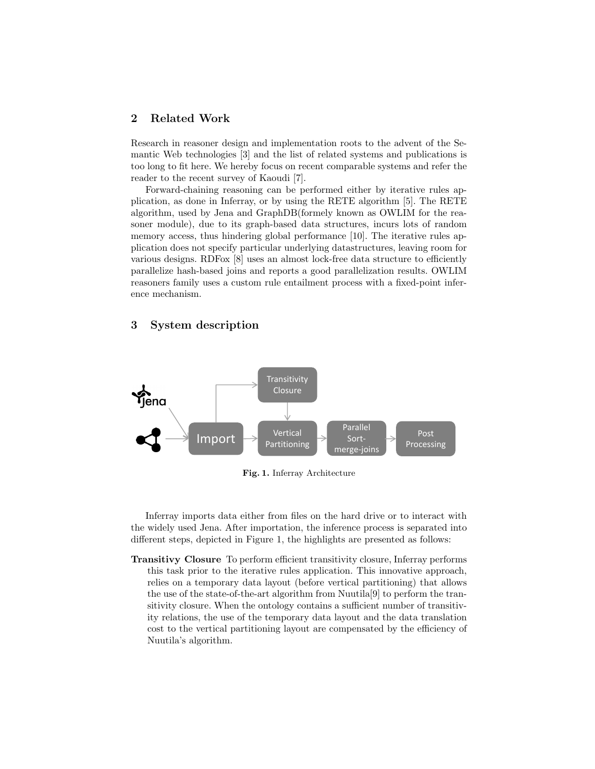## 2 Related Work

Research in reasoner design and implementation roots to the advent of the Semantic Web technologies [3] and the list of related systems and publications is too long to fit here. We hereby focus on recent comparable systems and refer the reader to the recent survey of Kaoudi [7].

Forward-chaining reasoning can be performed either by iterative rules application, as done in Inferray, or by using the RETE algorithm [5]. The RETE algorithm, used by Jena and GraphDB(formely known as OWLIM for the reasoner module), due to its graph-based data structures, incurs lots of random memory access, thus hindering global performance [10]. The iterative rules application does not specify particular underlying datastructures, leaving room for various designs. RDFox [8] uses an almost lock-free data structure to efficiently parallelize hash-based joins and reports a good parallelization results. OWLIM reasoners family uses a custom rule entailment process with a fixed-point inference mechanism.

# 3 System description



Fig. 1. Inferray Architecture

Inferray imports data either from files on the hard drive or to interact with the widely used Jena. After importation, the inference process is separated into different steps, depicted in Figure 1, the highlights are presented as follows:

Transitivy Closure To perform efficient transitivity closure, Inferray performs this task prior to the iterative rules application. This innovative approach, relies on a temporary data layout (before vertical partitioning) that allows the use of the state-of-the-art algorithm from Nuutila[9] to perform the transitivity closure. When the ontology contains a sufficient number of transitivity relations, the use of the temporary data layout and the data translation cost to the vertical partitioning layout are compensated by the efficiency of Nuutila's algorithm.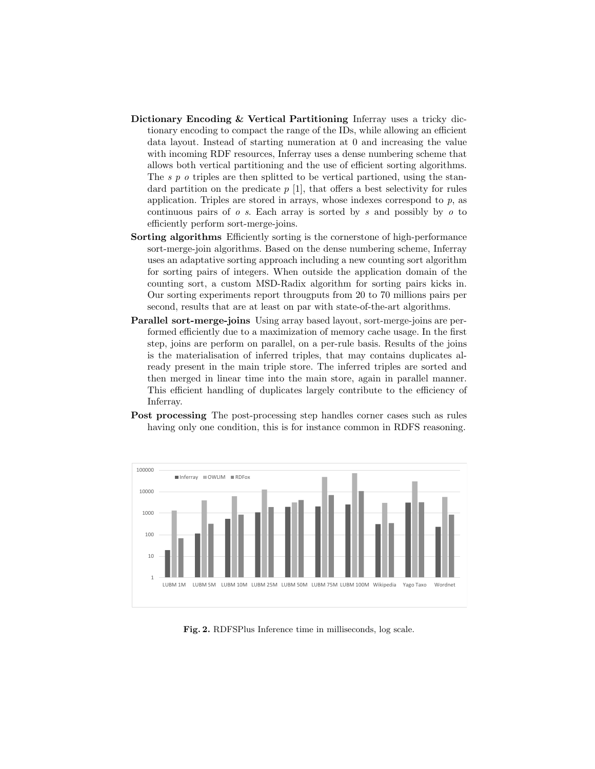- Dictionary Encoding & Vertical Partitioning Inferray uses a tricky dictionary encoding to compact the range of the IDs, while allowing an efficient data layout. Instead of starting numeration at 0 and increasing the value with incoming RDF resources, Inferray uses a dense numbering scheme that allows both vertical partitioning and the use of efficient sorting algorithms. The s p o triples are then splitted to be vertical partioned, using the standard partition on the predicate  $p$  [1], that offers a best selectivity for rules application. Triples are stored in arrays, whose indexes correspond to p, as continuous pairs of  $\sigma$  s. Each array is sorted by s and possibly by  $\sigma$  to efficiently perform sort-merge-joins.
- Sorting algorithms Efficiently sorting is the cornerstone of high-performance sort-merge-join algorithms. Based on the dense numbering scheme, Inferray uses an adaptative sorting approach including a new counting sort algorithm for sorting pairs of integers. When outside the application domain of the counting sort, a custom MSD-Radix algorithm for sorting pairs kicks in. Our sorting experiments report througputs from 20 to 70 millions pairs per second, results that are at least on par with state-of-the-art algorithms.
- Parallel sort-merge-joins Using array based layout, sort-merge-joins are performed efficiently due to a maximization of memory cache usage. In the first step, joins are perform on parallel, on a per-rule basis. Results of the joins is the materialisation of inferred triples, that may contains duplicates already present in the main triple store. The inferred triples are sorted and then merged in linear time into the main store, again in parallel manner. This efficient handling of duplicates largely contribute to the efficiency of Inferray.
- Post processing The post-processing step handles corner cases such as rules having only one condition, this is for instance common in RDFS reasoning.



Fig. 2. RDFSPlus Inference time in milliseconds, log scale.